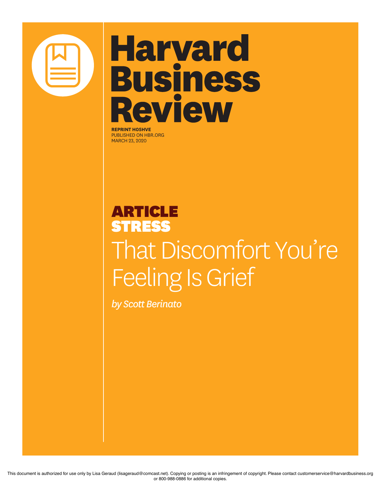

# **Harvard Business Review**

**REPRINT H05HVE** PUBLISHED ON HBR.ORG MARCH 23, 2020

### ARTICLE **STRESS** That Discomfort You're Feeling Is Grief

*by Scott Berinato*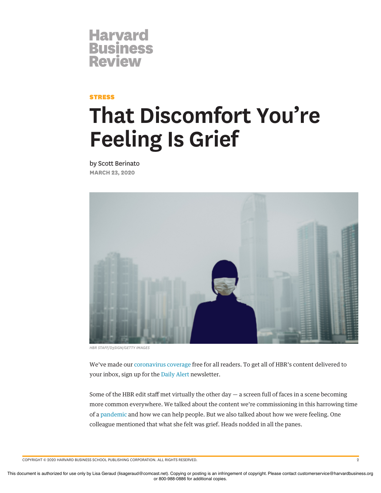### **Harvard<br>Business Review**

#### **STRESS**

## **That Discomfort You're Feeling Is Grief**

by Scott Berinato **MARCH 23, 2020**



*HBR STAFF/D3SIGN/GETTY IMAGES*

We've made our [coronavirus coverage](https://hbr.org/insight-center/coronavirus?ab=articlewidget-insightcenter-coronavirus) free for all readers. To get all of HBR's content delivered to your inbox, sign up for the [Daily Alert](https://hbr.org/email-newsletters?ab=articlewidget-newsletter-coronavirus&movetile=dailyalert) newsletter.

Some of the HBR edit staff met virtually the other day  $-$  a screen full of faces in a scene becoming more common everywhere. We talked about the content we're commissioning in this harrowing time of a [pandemic](https://hbr.org/insight-center/coronavirus) and how we can help people. But we also talked about how we were feeling. One colleague mentioned that what she felt was grief. Heads nodded in all the panes.

COPYRIGHT © 2020 HARVARD BUSINESS SCHOOL PUBLISHING CORPORATION. ALL RIGHTS RESERVED. 2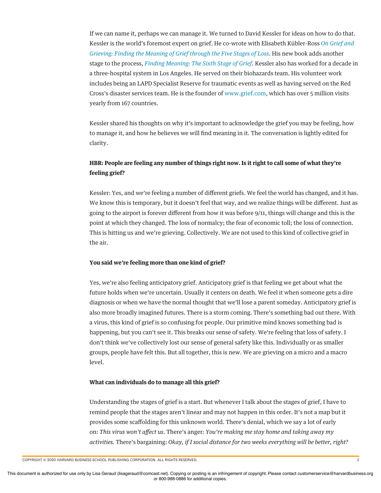If we can name it, perhaps we can manage it. We turned to David Kessler for ideas on how to do that. Kessler is the world's foremost expert on grief. He co-wrote with Elisabeth Kübler-Ross *[On Grief and](https://www.amazon.com/Grief-Grieving-Finding-Meaning-Through/dp/1476775559) [Grieving: Finding the Meaning of Grief through the Five Stages of Loss](https://www.amazon.com/Grief-Grieving-Finding-Meaning-Through/dp/1476775559)*. His new book adds another stage to the process, *[Finding Meaning: The Sixth Stage of Grief](https://www.amazon.com/Finding-Meaning-Sixth-Stage-Grief/dp/1501192736).* Kessler also has worked for a decade in a three-hospital system in Los Angeles. He served on their biohazards team. His volunteer work includes being an LAPD Specialist Reserve for traumatic events as well as having served on the Red Cross's disaster services team. He is the founder of [www.grief.com](http://www.grief.com/), which has over 5 million visits yearly from 167 countries.

Kessler shared his thoughts on why it's important to acknowledge the grief you may be feeling, how to manage it, and how he believes we will fnd meaning in it. The conversation is lightly edited for clarity.

#### **HBR: People are feeling any number of things right now. Is it right to call some of what they're feeling grief?**

Kessler: Yes, and we're feeling a number of diferent griefs. We feel the world has changed, and it has. We know this is temporary, but it doesn't feel that way, and we realize things will be diferent. Just as going to the airport is forever diferent from how it was before 9/11, things will change and this is the point at which they changed. The loss of normalcy; the fear of economic toll; the loss of connection. This is hitting us and we're grieving. Collectively. We are not used to this kind of collective grief in the air.

#### **You said we're feeling more than one kind of grief?**

Yes, we're also feeling anticipatory grief. Anticipatory grief is that feeling we get about what the future holds when we're uncertain. Usually it centers on death. We feel it when someone gets a dire diagnosis or when we have the normal thought that we'll lose a parent someday. Anticipatory grief is also more broadly imagined futures. There is a storm coming. There's something bad out there. With a virus, this kind of grief is so confusing for people. Our primitive mind knows something bad is happening, but you can't see it. This breaks our sense of safety. We're feeling that loss of safety. I don't think we've collectively lost our sense of general safety like this. Individually or as smaller groups, people have felt this. But all together, this is new. We are grieving on a micro and a macro level.

#### **What can individuals do to manage all this grief?**

Understanding the stages of grief is a start. But whenever I talk about the stages of grief, I have to remind people that the stages aren't linear and may not happen in this order. It's not a map but it provides some scafolding for this unknown world. There's denial, which we say a lot of early on: *This virus won't a*f*ect us*. There's anger: *You're making me stay home and taking away my activities.* There's bargaining: *Okay, if I social distance for two weeks everything will be better, right?*

COPYRIGHT © 2020 HARVARD BUSINESS SCHOOL PUBLISHING CORPORATION. ALL RIGHTS RESERVED. 3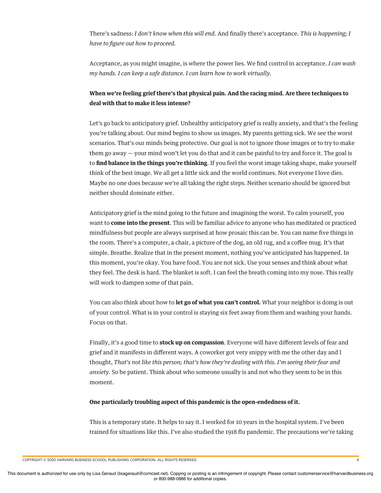There's sadness: *I don't know when this will end.* And fnally there's acceptance. *This is happening; I have to* f*gure out how to proceed.*

Acceptance, as you might imagine, is where the power lies. We fnd control in acceptance. *I can wash my hands. I can keep a safe distance. I can learn how to work virtually.*

#### **When we're feeling grief there's that physical pain. And the racing mind. Are there techniques to deal with that to make it less intense?**

Let's go back to anticipatory grief. Unhealthy anticipatory grief is really anxiety, and that's the feeling you're talking about. Our mind begins to show us images. My parents getting sick. We see the worst scenarios. That's our minds being protective. Our goal is not to ignore those images or to try to make them go away — your mind won't let you do that and it can be painful to try and force it. The goal is to **fnd balance in the things you're thinking**. If you feel the worst image taking shape, make yourself think of the best image. We all get a little sick and the world continues. Not everyone I love dies. Maybe no one does because we're all taking the right steps. Neither scenario should be ignored but neither should dominate either.

Anticipatory grief is the mind going to the future and imagining the worst. To calm yourself, you want to **come into the present**. This will be familiar advice to anyone who has meditated or practiced mindfulness but people are always surprised at how prosaic this can be. You can name fve things in the room. There's a computer, a chair, a picture of the dog, an old rug, and a cofee mug. It's that simple. Breathe. Realize that in the present moment, nothing you've anticipated has happened. In this moment, you're okay. You have food. You are not sick. Use your senses and think about what they feel. The desk is hard. The blanket is soft. I can feel the breath coming into my nose. This really will work to dampen some of that pain.

You can also think about how to **let go of what you can't control.** What your neighbor is doing is out of your control. What is in your control is staying six feet away from them and washing your hands. Focus on that.

Finally, it's a good time to **stock up on compassion**. Everyone will have diferent levels of fear and grief and it manifests in diferent ways. A coworker got very snippy with me the other day and I thought, *That's not like this person; that's how they're dealing with this. I'm seeing their fear and anxiety.* So be patient. Think about who someone usually is and not who they seem to be in this moment.

#### **One particularly troubling aspect of this pandemic is the open-endedness of it.**

This is a temporary state. It helps to say it. I worked for 10 years in the hospital system. I've been trained for situations like this. I've also studied the 1918 fu pandemic. The precautions we're taking

COPYRIGHT © 2020 HARVARD BUSINESS SCHOOL PUBLISHING CORPORATION. ALL RIGHTS RESERVED. 4